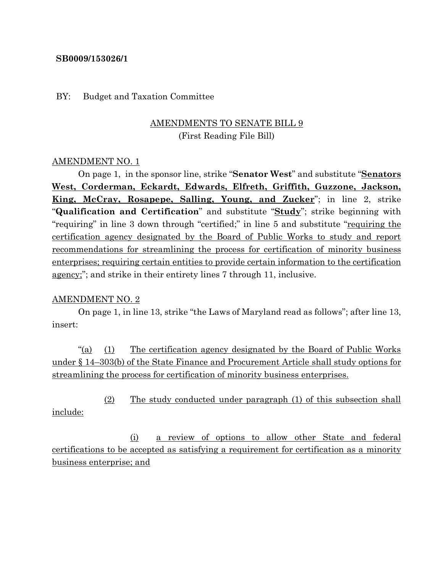### **SB0009/153026/1**

### BY: Budget and Taxation Committee

# AMENDMENTS TO SENATE BILL 9 (First Reading File Bill)

## AMENDMENT NO. 1

On page 1, in the sponsor line, strike "**Senator West**" and substitute "**Senators West, Corderman, Eckardt, Edwards, Elfreth, Griffith, Guzzone, Jackson, King, McCray, Rosapepe, Salling, Young, and Zucker**"; in line 2, strike "**Qualification and Certification**" and substitute "**Study**"; strike beginning with "requiring" in line 3 down through "certified;" in line 5 and substitute "requiring the certification agency designated by the Board of Public Works to study and report recommendations for streamlining the process for certification of minority business enterprises; requiring certain entities to provide certain information to the certification agency;"; and strike in their entirety lines 7 through 11, inclusive.

#### AMENDMENT NO. 2

On page 1, in line 13, strike "the Laws of Maryland read as follows"; after line 13, insert:

"(a) (1) The certification agency designated by the Board of Public Works under § 14–303(b) of the State Finance and Procurement Article shall study options for streamlining the process for certification of minority business enterprises.

(2) The study conducted under paragraph (1) of this subsection shall include:

(i) a review of options to allow other State and federal certifications to be accepted as satisfying a requirement for certification as a minority business enterprise; and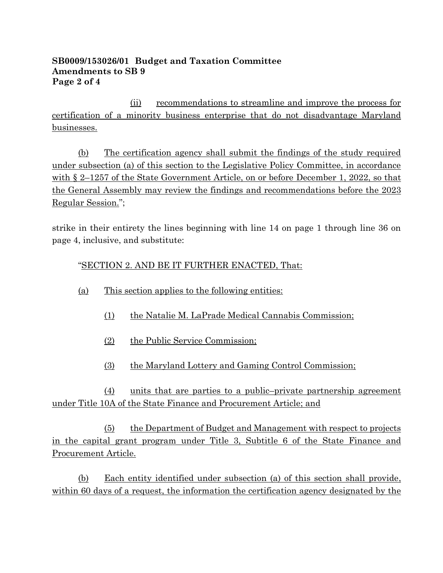## **SB0009/153026/01 Budget and Taxation Committee Amendments to SB 9 Page 2 of 4**

(ii) recommendations to streamline and improve the process for certification of a minority business enterprise that do not disadvantage Maryland businesses.

(b) The certification agency shall submit the findings of the study required under subsection (a) of this section to the Legislative Policy Committee, in accordance with § 2–1257 of the State Government Article, on or before December 1, 2022, so that the General Assembly may review the findings and recommendations before the 2023 Regular Session.";

strike in their entirety the lines beginning with line 14 on page 1 through line 36 on page 4, inclusive, and substitute:

# "SECTION 2. AND BE IT FURTHER ENACTED, That:

- (a) This section applies to the following entities:
	- (1) the Natalie M. LaPrade Medical Cannabis Commission;
	- (2) the Public Service Commission;
	- (3) the Maryland Lottery and Gaming Control Commission;

(4) units that are parties to a public–private partnership agreement under Title 10A of the State Finance and Procurement Article; and

(5) the Department of Budget and Management with respect to projects in the capital grant program under Title 3, Subtitle 6 of the State Finance and Procurement Article.

(b) Each entity identified under subsection (a) of this section shall provide, within 60 days of a request, the information the certification agency designated by the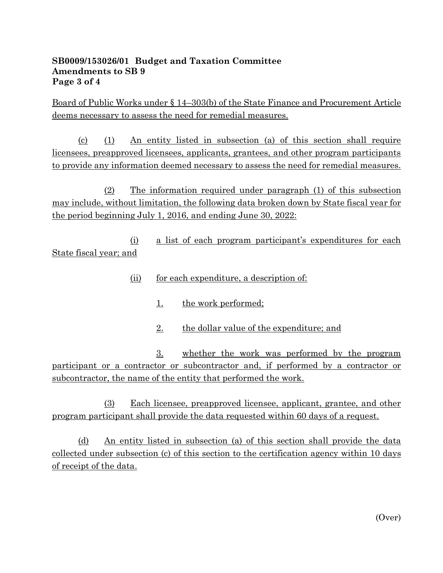## **SB0009/153026/01 Budget and Taxation Committee Amendments to SB 9 Page 3 of 4**

Board of Public Works under § 14–303(b) of the State Finance and Procurement Article deems necessary to assess the need for remedial measures.

(c) (1) An entity listed in subsection (a) of this section shall require licensees, preapproved licensees, applicants, grantees, and other program participants to provide any information deemed necessary to assess the need for remedial measures.

(2) The information required under paragraph (1) of this subsection may include, without limitation, the following data broken down by State fiscal year for the period beginning July 1, 2016, and ending June 30, 2022:

(i) a list of each program participant's expenditures for each State fiscal year; and

- (ii) for each expenditure, a description of:
	- 1. the work performed;
	- 2. the dollar value of the expenditure; and

3. whether the work was performed by the program participant or a contractor or subcontractor and, if performed by a contractor or subcontractor, the name of the entity that performed the work.

(3) Each licensee, preapproved licensee, applicant, grantee, and other program participant shall provide the data requested within 60 days of a request.

(d) An entity listed in subsection (a) of this section shall provide the data collected under subsection (c) of this section to the certification agency within 10 days of receipt of the data.